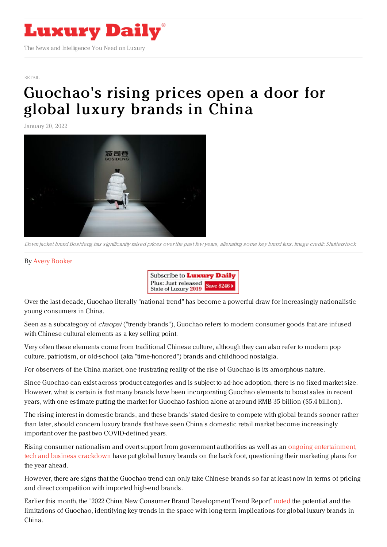

[RETAIL](https://www.luxurydaily.com/category/sectors/retail-industry-sectors/)

## [Guochao's](https://www.luxurydaily.com/?p=343960) rising prices open a door for global luxury brands in China

January 20, 2022



Down jacket brand Bosideng has significantly raised prices over the past few years, alienating some key brand fans. Image credit: Shutterstock

## By Avery [Booker](https://jingdaily.com/author/avery/)



Over the last decade, Guochao literally "national trend" has become a powerful draw for increasingly nationalistic young consumers in China.

Seen as a subcategory of *chaopai* ("trendy brands"). Guochao refers to modern consumer goods that are infused with Chinese cultural elements as a key selling point.

Very often these elements come from traditional Chinese culture, although they can also refer to modern pop culture, patriotism, or old-school (aka "time-honored") brands and childhood nostalgia.

For observers of the China market, one frustrating reality of the rise of Guochao is its amorphous nature.

Since Guochao can exist across product categories and is subject to ad-hoc adoption, there is no fixed market size. However, what is certain is that many brands have been incorporating Guochao elements to boost sales in recent years, with one estimate putting the market for Guochao fashion alone at around RMB 35 billion (\$5.4 billion).

The rising interest in domestic brands, and these brands' stated desire to compete with global brands sooner rather than later, should concern luxury brands that have seen China's domestic retail market become increasingly important over the past two COVID-defined years.

Rising consumer nationalism and overt support from government authorities as well as an ongoing [entertainment,](https://jingdaily.com/downloads/what-chinas-big-celebrity-crackdown-means-for-luxury/) tech and business crackdown have put global luxury brands on the back foot, questioning their marketing plans for the year ahead.

However, there are signs that the Guochao trend can only take Chinese brands so far at least now in terms of pricing and direct competition with imported high-end brands.

Earlier this month, the "2022 China New Consumer Brand Development Trend Report" [noted](https://www.36kr.com/p/1566140970995593) the potential and the limitations of Guochao, identifying key trends in the space with long-term implications for global luxury brands in China.